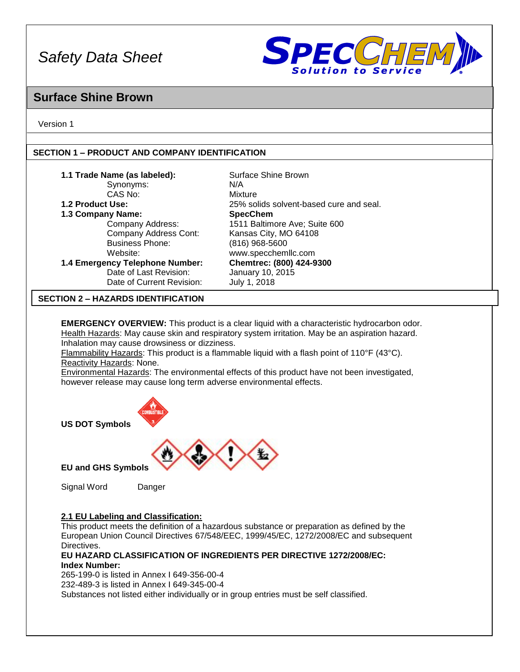

# **Surface Shine Brown**

Version 1

 $\mathsf{L}$ 

# **SECTION 1 – PRODUCT AND COMPANY IDENTIFICATION**

| 1.1 Trade Name (as labeled):<br>Synonyms:<br>CAS No:<br>1.2 Product Use:<br>1.3 Company Name:<br>Company Address:<br>Company Address Cont:<br><b>Business Phone:</b><br>Website:<br>1.4 Emergency Telephone Number:<br>Date of Last Revision:<br>Date of Current Revision:                                                                           | Surface Shine Brown<br>N/A<br>Mixture<br>25% solids solvent-based cure and seal.<br><b>SpecChem</b><br>1511 Baltimore Ave; Suite 600<br>Kansas City, MO 64108<br>$(816)$ 968-5600<br>www.specchemllc.com<br>Chemtrec: (800) 424-9300<br>January 10, 2015<br>July 1, 2018 |  |
|------------------------------------------------------------------------------------------------------------------------------------------------------------------------------------------------------------------------------------------------------------------------------------------------------------------------------------------------------|--------------------------------------------------------------------------------------------------------------------------------------------------------------------------------------------------------------------------------------------------------------------------|--|
| <b>SECTION 2 – HAZARDS IDENTIFICATION</b>                                                                                                                                                                                                                                                                                                            |                                                                                                                                                                                                                                                                          |  |
| <b>EMERGENCY OVERVIEW:</b> This product is a clear liquid with a characteristic hydrocarbon odor.<br>Health Hazards: May cause skin and respiratory system irritation. May be an aspiration hazard.<br>Inhalation may cause drowsiness or dizziness.<br>Flammability Hazards: This product is a flammable liquid with a flash point of 110°F (43°C). |                                                                                                                                                                                                                                                                          |  |

Reactivity Hazards: None. Environmental Hazards: The environmental effects of this product have not been investigated,

however release may cause long term adverse environmental effects.



**US DOT Symbols**



**EU and GHS Symbols**

Signal Word Danger

# **2.1 EU Labeling and Classification:**

This product meets the definition of a hazardous substance or preparation as defined by the European Union Council Directives 67/548/EEC, 1999/45/EC, 1272/2008/EC and subsequent Directives.

### **EU HAZARD CLASSIFICATION OF INGREDIENTS PER DIRECTIVE 1272/2008/EC: Index Number:**

265-199-0 is listed in Annex I 649-356-00-4 232-489-3 is listed in Annex I 649-345-00-4

Substances not listed either individually or in group entries must be self classified.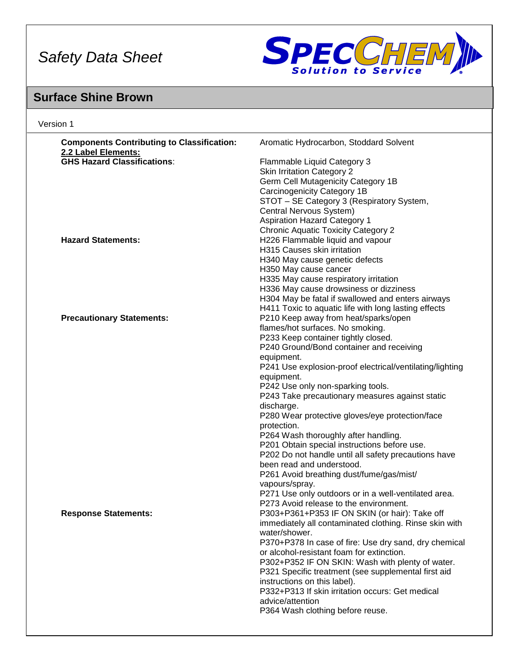

# **Surface Shine Brown**

| <b>Components Contributing to Classification:</b> | Aromatic Hydrocarbon, Stoddard Solvent                   |
|---------------------------------------------------|----------------------------------------------------------|
| 2.2 Label Elements:                               |                                                          |
| <b>GHS Hazard Classifications:</b>                | Flammable Liquid Category 3                              |
|                                                   | <b>Skin Irritation Category 2</b>                        |
|                                                   | Germ Cell Mutagenicity Category 1B                       |
|                                                   | Carcinogenicity Category 1B                              |
|                                                   | STOT - SE Category 3 (Respiratory System,                |
|                                                   | Central Nervous System)                                  |
|                                                   | <b>Aspiration Hazard Category 1</b>                      |
|                                                   | <b>Chronic Aquatic Toxicity Category 2</b>               |
| <b>Hazard Statements:</b>                         | H226 Flammable liquid and vapour                         |
|                                                   | H315 Causes skin irritation                              |
|                                                   | H340 May cause genetic defects                           |
|                                                   | H350 May cause cancer                                    |
|                                                   | H335 May cause respiratory irritation                    |
|                                                   | H336 May cause drowsiness or dizziness                   |
|                                                   | H304 May be fatal if swallowed and enters airways        |
|                                                   | H411 Toxic to aquatic life with long lasting effects     |
| <b>Precautionary Statements:</b>                  | P210 Keep away from heat/sparks/open                     |
|                                                   | flames/hot surfaces. No smoking.                         |
|                                                   | P233 Keep container tightly closed.                      |
|                                                   | P240 Ground/Bond container and receiving                 |
|                                                   | equipment.                                               |
|                                                   | P241 Use explosion-proof electrical/ventilating/lighting |
|                                                   | equipment.                                               |
|                                                   | P242 Use only non-sparking tools.                        |
|                                                   | P243 Take precautionary measures against static          |
|                                                   | discharge.                                               |
|                                                   | P280 Wear protective gloves/eye protection/face          |
|                                                   | protection.                                              |
|                                                   | P264 Wash thoroughly after handling.                     |
|                                                   | P201 Obtain special instructions before use.             |
|                                                   | P202 Do not handle until all safety precautions have     |
|                                                   | been read and understood.                                |
|                                                   | P261 Avoid breathing dust/fume/gas/mist/                 |
|                                                   | vapours/spray.                                           |
|                                                   | P271 Use only outdoors or in a well-ventilated area.     |
|                                                   | P273 Avoid release to the environment.                   |
| <b>Response Statements:</b>                       | P303+P361+P353 IF ON SKIN (or hair): Take off            |
|                                                   | immediately all contaminated clothing. Rinse skin with   |
|                                                   | water/shower.                                            |
|                                                   | P370+P378 In case of fire: Use dry sand, dry chemical    |
|                                                   | or alcohol-resistant foam for extinction.                |
|                                                   | P302+P352 IF ON SKIN: Wash with plenty of water.         |
|                                                   | P321 Specific treatment (see supplemental first aid      |
|                                                   | instructions on this label).                             |
|                                                   | P332+P313 If skin irritation occurs: Get medical         |
|                                                   | advice/attention                                         |
|                                                   | P364 Wash clothing before reuse.                         |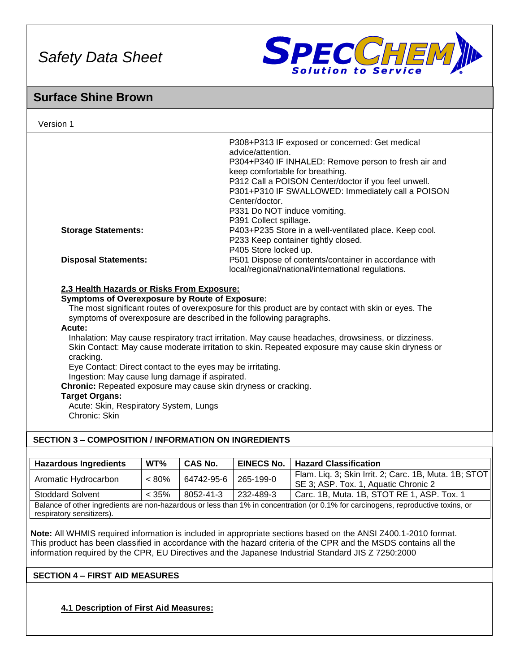

# **Surface Shine Brown**

| Version 1                                                                                                                                                                                                                                                                                                                                                                                                                                                                                                                                                                                                                                                                                                                                                                               |          |                |                                                                                                                                  |                                                                                                                                                                                                                     |
|-----------------------------------------------------------------------------------------------------------------------------------------------------------------------------------------------------------------------------------------------------------------------------------------------------------------------------------------------------------------------------------------------------------------------------------------------------------------------------------------------------------------------------------------------------------------------------------------------------------------------------------------------------------------------------------------------------------------------------------------------------------------------------------------|----------|----------------|----------------------------------------------------------------------------------------------------------------------------------|---------------------------------------------------------------------------------------------------------------------------------------------------------------------------------------------------------------------|
|                                                                                                                                                                                                                                                                                                                                                                                                                                                                                                                                                                                                                                                                                                                                                                                         |          |                | advice/attention.<br>keep comfortable for breathing.<br>Center/doctor.<br>P331 Do NOT induce vomiting.<br>P391 Collect spillage. | P308+P313 IF exposed or concerned: Get medical<br>P304+P340 IF INHALED: Remove person to fresh air and<br>P312 Call a POISON Center/doctor if you feel unwell.<br>P301+P310 IF SWALLOWED: Immediately call a POISON |
| <b>Storage Statements:</b>                                                                                                                                                                                                                                                                                                                                                                                                                                                                                                                                                                                                                                                                                                                                                              |          |                | P405 Store locked up.                                                                                                            | P403+P235 Store in a well-ventilated place. Keep cool.<br>P233 Keep container tightly closed.                                                                                                                       |
| <b>Disposal Statements:</b>                                                                                                                                                                                                                                                                                                                                                                                                                                                                                                                                                                                                                                                                                                                                                             |          |                | P501 Dispose of contents/container in accordance with<br>local/regional/national/international regulations.                      |                                                                                                                                                                                                                     |
| 2.3 Health Hazards or Risks From Exposure:<br><b>Symptoms of Overexposure by Route of Exposure:</b><br>The most significant routes of overexposure for this product are by contact with skin or eyes. The<br>symptoms of overexposure are described in the following paragraphs.<br>Acute:<br>Inhalation: May cause respiratory tract irritation. May cause headaches, drowsiness, or dizziness.<br>Skin Contact: May cause moderate irritation to skin. Repeated exposure may cause skin dryness or<br>cracking.<br>Eye Contact: Direct contact to the eyes may be irritating.<br>Ingestion: May cause lung damage if aspirated.<br>Chronic: Repeated exposure may cause skin dryness or cracking.<br><b>Target Organs:</b><br>Acute: Skin, Respiratory System, Lungs<br>Chronic: Skin |          |                |                                                                                                                                  |                                                                                                                                                                                                                     |
| <b>SECTION 3 - COMPOSITION / INFORMATION ON INGREDIENTS</b>                                                                                                                                                                                                                                                                                                                                                                                                                                                                                                                                                                                                                                                                                                                             |          |                |                                                                                                                                  |                                                                                                                                                                                                                     |
| <b>Hazardous Ingredients</b>                                                                                                                                                                                                                                                                                                                                                                                                                                                                                                                                                                                                                                                                                                                                                            | WT%      | <b>CAS No.</b> | <b>EINECS No.</b>                                                                                                                | <b>Hazard Classification</b>                                                                                                                                                                                        |
| Aromatic Hydrocarbon                                                                                                                                                                                                                                                                                                                                                                                                                                                                                                                                                                                                                                                                                                                                                                    | $< 80\%$ | 64742-95-6     | 265-199-0                                                                                                                        | Flam. Liq. 3; Skin Irrit. 2; Carc. 1B, Muta. 1B; STOT<br>SE 3; ASP. Tox. 1, Aquatic Chronic 2                                                                                                                       |
| <b>Stoddard Solvent</b>                                                                                                                                                                                                                                                                                                                                                                                                                                                                                                                                                                                                                                                                                                                                                                 | < 35%    | 8052-41-3      | 232-489-3                                                                                                                        | Carc. 1B, Muta. 1B, STOT RE 1, ASP. Tox. 1                                                                                                                                                                          |

Balance of other ingredients are non-hazardous or less than 1% in concentration (or 0.1% for carcinogens, reproductive toxins, or respiratory sensitizers).

**Note:** All WHMIS required information is included in appropriate sections based on the ANSI Z400.1-2010 format. This product has been classified in accordance with the hazard criteria of the CPR and the MSDS contains all the information required by the CPR, EU Directives and the Japanese Industrial Standard JIS Z 7250:2000

# **SECTION 4 – FIRST AID MEASURES**

**4.1 Description of First Aid Measures:**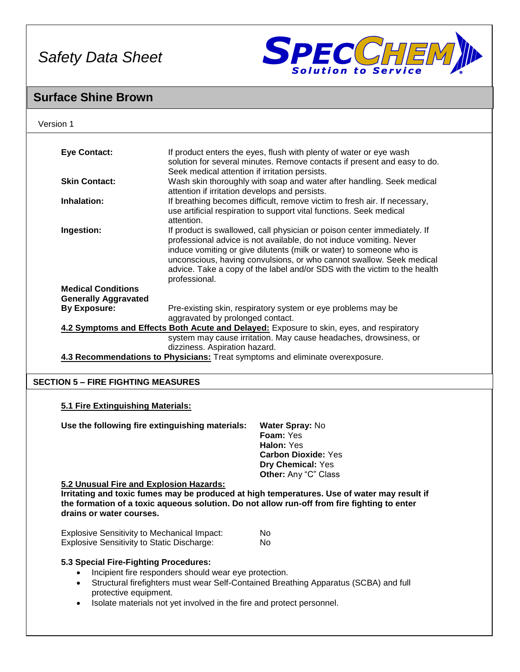

# **Surface Shine Brown**

| Version 1                                          |                                                                                                                            |                                                                                             |  |
|----------------------------------------------------|----------------------------------------------------------------------------------------------------------------------------|---------------------------------------------------------------------------------------------|--|
|                                                    |                                                                                                                            |                                                                                             |  |
| <b>Eye Contact:</b>                                |                                                                                                                            | If product enters the eyes, flush with plenty of water or eye wash                          |  |
|                                                    | solution for several minutes. Remove contacts if present and easy to do.<br>Seek medical attention if irritation persists. |                                                                                             |  |
| <b>Skin Contact:</b>                               | Wash skin thoroughly with soap and water after handling. Seek medical                                                      |                                                                                             |  |
|                                                    |                                                                                                                            | attention if irritation develops and persists.                                              |  |
| Inhalation:                                        | If breathing becomes difficult, remove victim to fresh air. If necessary,                                                  |                                                                                             |  |
|                                                    | use artificial respiration to support vital functions. Seek medical<br>attention.                                          |                                                                                             |  |
|                                                    |                                                                                                                            |                                                                                             |  |
| Ingestion:                                         |                                                                                                                            | If product is swallowed, call physician or poison center immediately. If                    |  |
|                                                    |                                                                                                                            | professional advice is not available, do not induce vomiting. Never                         |  |
|                                                    |                                                                                                                            | induce vomiting or give dilutents (milk or water) to someone who is                         |  |
|                                                    |                                                                                                                            | unconscious, having convulsions, or who cannot swallow. Seek medical                        |  |
|                                                    | professional.                                                                                                              | advice. Take a copy of the label and/or SDS with the victim to the health                   |  |
| <b>Medical Conditions</b>                          |                                                                                                                            |                                                                                             |  |
| <b>Generally Aggravated</b>                        |                                                                                                                            |                                                                                             |  |
| <b>By Exposure:</b>                                |                                                                                                                            | Pre-existing skin, respiratory system or eye problems may be                                |  |
|                                                    | aggravated by prolonged contact.                                                                                           |                                                                                             |  |
|                                                    |                                                                                                                            | 4.2 Symptoms and Effects Both Acute and Delayed: Exposure to skin, eyes, and respiratory    |  |
|                                                    |                                                                                                                            | system may cause irritation. May cause headaches, drowsiness, or                            |  |
|                                                    | dizziness. Aspiration hazard.                                                                                              |                                                                                             |  |
|                                                    |                                                                                                                            |                                                                                             |  |
|                                                    |                                                                                                                            | 4.3 Recommendations to Physicians: Treat symptoms and eliminate overexposure.               |  |
|                                                    |                                                                                                                            |                                                                                             |  |
| <b>SECTION 5 - FIRE FIGHTING MEASURES</b>          |                                                                                                                            |                                                                                             |  |
|                                                    |                                                                                                                            |                                                                                             |  |
| 5.1 Fire Extinguishing Materials:                  |                                                                                                                            |                                                                                             |  |
|                                                    |                                                                                                                            |                                                                                             |  |
| Use the following fire extinguishing materials:    |                                                                                                                            | Water Spray: No<br>Foam: Yes                                                                |  |
|                                                    |                                                                                                                            | Halon: Yes                                                                                  |  |
|                                                    |                                                                                                                            | <b>Carbon Dioxide: Yes</b>                                                                  |  |
|                                                    |                                                                                                                            | Dry Chemical: Yes                                                                           |  |
|                                                    |                                                                                                                            | Other: Any "C" Class                                                                        |  |
| 5.2 Unusual Fire and Explosion Hazards:            |                                                                                                                            |                                                                                             |  |
|                                                    |                                                                                                                            | Irritating and toxic fumes may be produced at high temperatures. Use of water may result if |  |
|                                                    |                                                                                                                            | the formation of a toxic aqueous solution. Do not allow run-off from fire fighting to enter |  |
| drains or water courses.                           |                                                                                                                            |                                                                                             |  |
|                                                    |                                                                                                                            |                                                                                             |  |
| <b>Explosive Sensitivity to Mechanical Impact:</b> |                                                                                                                            | No.                                                                                         |  |
| <b>Explosive Sensitivity to Static Discharge:</b>  |                                                                                                                            | No.                                                                                         |  |
| 5.3 Special Fire-Fighting Procedures:              |                                                                                                                            |                                                                                             |  |
|                                                    | Incipient fire responders should wear eye protection.                                                                      |                                                                                             |  |
| $\bullet$                                          |                                                                                                                            | Structural firefighters must wear Self-Contained Breathing Apparatus (SCBA) and full        |  |
| protective equipment.                              |                                                                                                                            |                                                                                             |  |
| $\bullet$                                          | Isolate materials not yet involved in the fire and protect personnel.                                                      |                                                                                             |  |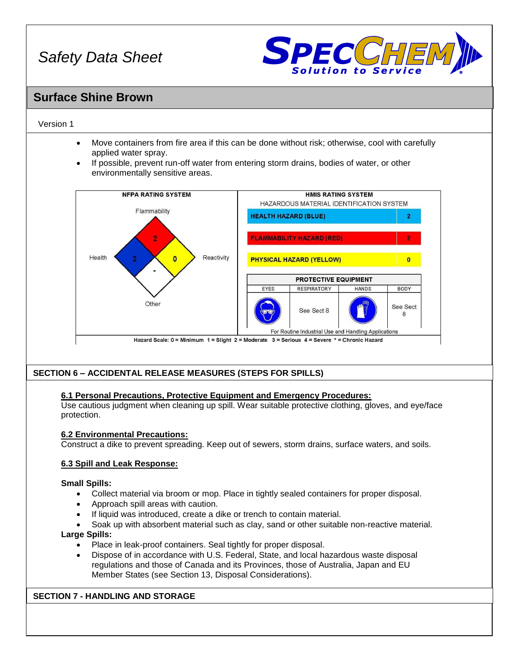

# **Surface Shine Brown**

## Version 1

- Move containers from fire area if this can be done without risk; otherwise, cool with carefully applied water spray.
- If possible, prevent run-off water from entering storm drains, bodies of water, or other environmentally sensitive areas.



# **SECTION 6 – ACCIDENTAL RELEASE MEASURES (STEPS FOR SPILLS)**

# **6.1 Personal Precautions, Protective Equipment and Emergency Procedures:**

Use cautious judgment when cleaning up spill. Wear suitable protective clothing, gloves, and eye/face protection.

### **6.2 Environmental Precautions:**

Construct a dike to prevent spreading. Keep out of sewers, storm drains, surface waters, and soils.

### **6.3 Spill and Leak Response:**

### **Small Spills:**

- Collect material via broom or mop. Place in tightly sealed containers for proper disposal.
- Approach spill areas with caution.
- If liquid was introduced, create a dike or trench to contain material.
- Soak up with absorbent material such as clay, sand or other suitable non-reactive material. **Large Spills:**
- - Place in leak-proof containers. Seal tightly for proper disposal.
	- Dispose of in accordance with U.S. Federal, State, and local hazardous waste disposal regulations and those of Canada and its Provinces, those of Australia, Japan and EU Member States (see Section 13, Disposal Considerations).

# **SECTION 7 - HANDLING AND STORAGE**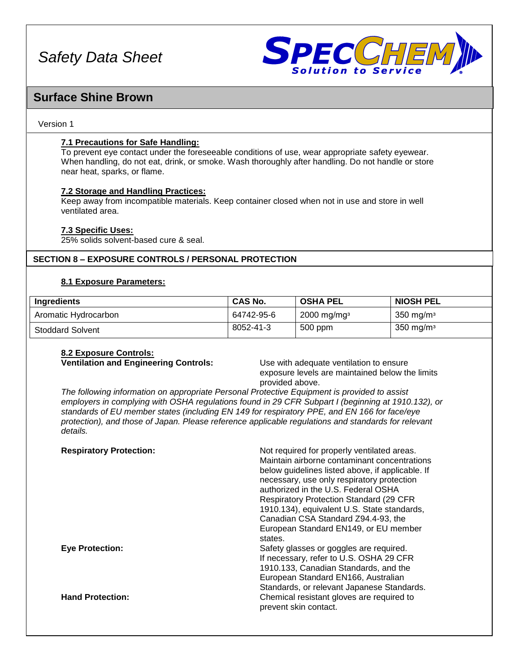

# **Surface Shine Brown**

## Version 1

# **7.1 Precautions for Safe Handling:**

To prevent eye contact under the foreseeable conditions of use, wear appropriate safety eyewear. When handling, do not eat, drink, or smoke. Wash thoroughly after handling. Do not handle or store near heat, sparks, or flame.

# **7.2 Storage and Handling Practices:**

Keep away from incompatible materials. Keep container closed when not in use and store in well ventilated area.

### **7.3 Specific Uses:**

25% solids solvent-based cure & seal.

# **SECTION 8 – EXPOSURE CONTROLS / PERSONAL PROTECTION**

### **8.1 Exposure Parameters:**

| Ingredients             | <b>CAS No.</b> | <b>OSHA PEL</b>           | <b>NIOSH PEL</b>        |
|-------------------------|----------------|---------------------------|-------------------------|
| Aromatic Hydrocarbon    | 64742-95-6     | $2000$ mg/mg <sup>3</sup> | 350 mg/m $\frac{3}{3}$  |
| <b>Stoddard Solvent</b> | 8052-41-3      | 500 ppm                   | $350$ mg/m <sup>3</sup> |

# **8.2 Exposure Controls:**

**Ventilation and Engineering Controls:** Use with adequate ventilation to ensure

exposure levels are maintained below the limits provided above.

*The following information on appropriate Personal Protective Equipment is provided to assist employers in complying with OSHA regulations found in 29 CFR Subpart I (beginning at 1910.132), or standards of EU member states (including EN 149 for respiratory PPE, and EN 166 for face/eye protection), and those of Japan. Please reference applicable regulations and standards for relevant details.*

| <b>Respiratory Protection:</b> | Not required for properly ventilated areas.<br>Maintain airborne contaminant concentrations<br>below guidelines listed above, if applicable. If<br>necessary, use only respiratory protection<br>authorized in the U.S. Federal OSHA<br><b>Respiratory Protection Standard (29 CFR)</b><br>1910.134), equivalent U.S. State standards,<br>Canadian CSA Standard Z94.4-93, the<br>European Standard EN149, or EU member |
|--------------------------------|------------------------------------------------------------------------------------------------------------------------------------------------------------------------------------------------------------------------------------------------------------------------------------------------------------------------------------------------------------------------------------------------------------------------|
| <b>Eve Protection:</b>         | states.<br>Safety glasses or goggles are required.<br>If necessary, refer to U.S. OSHA 29 CFR<br>1910.133, Canadian Standards, and the<br>European Standard EN166, Australian                                                                                                                                                                                                                                          |
| <b>Hand Protection:</b>        | Standards, or relevant Japanese Standards.<br>Chemical resistant gloves are required to<br>prevent skin contact.                                                                                                                                                                                                                                                                                                       |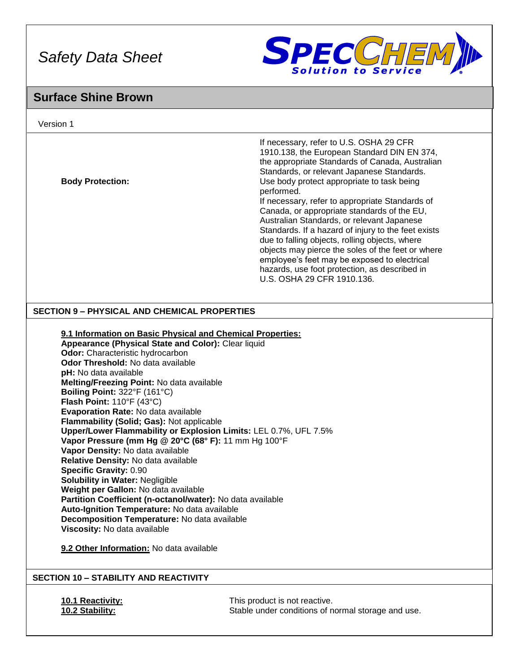

# **Surface Shine Brown**

| Version 1                                                                                                                                                                                                                                                                                                                                                                                                                                                                                                                                                                                                                                                                                                                                                                                                                                                                                                                |                                                                                                                                                                                                                                                                                                                                                                                                                                                                                                                                                                                                                                                                                                  |
|--------------------------------------------------------------------------------------------------------------------------------------------------------------------------------------------------------------------------------------------------------------------------------------------------------------------------------------------------------------------------------------------------------------------------------------------------------------------------------------------------------------------------------------------------------------------------------------------------------------------------------------------------------------------------------------------------------------------------------------------------------------------------------------------------------------------------------------------------------------------------------------------------------------------------|--------------------------------------------------------------------------------------------------------------------------------------------------------------------------------------------------------------------------------------------------------------------------------------------------------------------------------------------------------------------------------------------------------------------------------------------------------------------------------------------------------------------------------------------------------------------------------------------------------------------------------------------------------------------------------------------------|
| <b>Body Protection:</b>                                                                                                                                                                                                                                                                                                                                                                                                                                                                                                                                                                                                                                                                                                                                                                                                                                                                                                  | If necessary, refer to U.S. OSHA 29 CFR<br>1910.138, the European Standard DIN EN 374,<br>the appropriate Standards of Canada, Australian<br>Standards, or relevant Japanese Standards.<br>Use body protect appropriate to task being<br>performed.<br>If necessary, refer to appropriate Standards of<br>Canada, or appropriate standards of the EU,<br>Australian Standards, or relevant Japanese<br>Standards. If a hazard of injury to the feet exists<br>due to falling objects, rolling objects, where<br>objects may pierce the soles of the feet or where<br>employee's feet may be exposed to electrical<br>hazards, use foot protection, as described in<br>U.S. OSHA 29 CFR 1910.136. |
| <b>SECTION 9 - PHYSICAL AND CHEMICAL PROPERTIES</b>                                                                                                                                                                                                                                                                                                                                                                                                                                                                                                                                                                                                                                                                                                                                                                                                                                                                      |                                                                                                                                                                                                                                                                                                                                                                                                                                                                                                                                                                                                                                                                                                  |
| 9.1 Information on Basic Physical and Chemical Properties:<br>Appearance (Physical State and Color): Clear liquid<br>Odor: Characteristic hydrocarbon<br>Odor Threshold: No data available<br>pH: No data available<br>Melting/Freezing Point: No data available<br>Boiling Point: 322°F (161°C)<br>Flash Point: 110°F (43°C)<br><b>Evaporation Rate: No data available</b><br>Flammability (Solid; Gas): Not applicable<br>Vapor Pressure (mm Hg @ 20°C (68° F): 11 mm Hg 100°F<br>Vapor Density: No data available<br>Relative Density: No data available<br><b>Specific Gravity: 0.90</b><br><b>Solubility in Water: Negligible</b><br>Weight per Gallon: No data available<br>Partition Coefficient (n-octanol/water): No data available<br>Auto-Ignition Temperature: No data available<br>Decomposition Temperature: No data available<br>Viscosity: No data available<br>9.2 Other Information: No data available | Upper/Lower Flammability or Explosion Limits: LEL 0.7%, UFL 7.5%                                                                                                                                                                                                                                                                                                                                                                                                                                                                                                                                                                                                                                 |
| <b>SECTION 10 - STABILITY AND REACTIVITY</b>                                                                                                                                                                                                                                                                                                                                                                                                                                                                                                                                                                                                                                                                                                                                                                                                                                                                             |                                                                                                                                                                                                                                                                                                                                                                                                                                                                                                                                                                                                                                                                                                  |
| 10.1 Reactivity:<br>10.2 Stability:                                                                                                                                                                                                                                                                                                                                                                                                                                                                                                                                                                                                                                                                                                                                                                                                                                                                                      | This product is not reactive.<br>Stable under conditions of normal storage and use.                                                                                                                                                                                                                                                                                                                                                                                                                                                                                                                                                                                                              |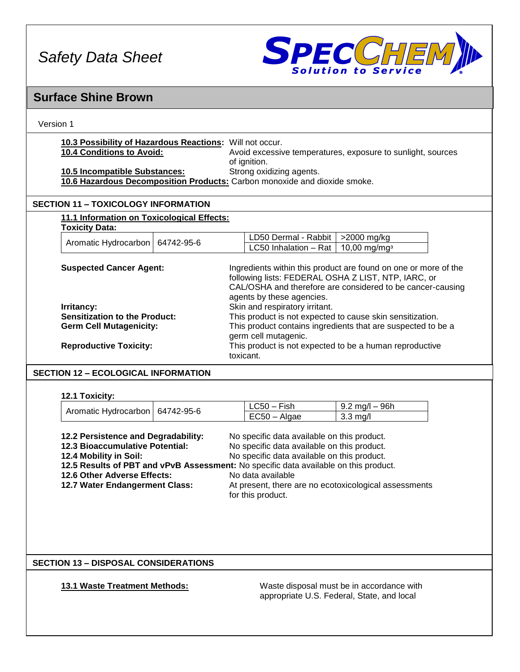

| <b>Surface Shine Brown</b>                                                                                                                                                                                                                                                                                                                                                                                                                                                                                |                                                                                                                                                                                                                                                                                          |  |  |  |
|-----------------------------------------------------------------------------------------------------------------------------------------------------------------------------------------------------------------------------------------------------------------------------------------------------------------------------------------------------------------------------------------------------------------------------------------------------------------------------------------------------------|------------------------------------------------------------------------------------------------------------------------------------------------------------------------------------------------------------------------------------------------------------------------------------------|--|--|--|
| Version 1                                                                                                                                                                                                                                                                                                                                                                                                                                                                                                 |                                                                                                                                                                                                                                                                                          |  |  |  |
| 10.3 Possibility of Hazardous Reactions: Will not occur.<br>10.4 Conditions to Avoid:<br>10.5 Incompatible Substances:<br>10.6 Hazardous Decomposition Products: Carbon monoxide and dioxide smoke.                                                                                                                                                                                                                                                                                                       | Avoid excessive temperatures, exposure to sunlight, sources<br>of ignition.<br>Strong oxidizing agents.                                                                                                                                                                                  |  |  |  |
| <b>SECTION 11 - TOXICOLOGY INFORMATION</b>                                                                                                                                                                                                                                                                                                                                                                                                                                                                |                                                                                                                                                                                                                                                                                          |  |  |  |
| 11.1 Information on Toxicological Effects:                                                                                                                                                                                                                                                                                                                                                                                                                                                                |                                                                                                                                                                                                                                                                                          |  |  |  |
| <b>Toxicity Data:</b><br>Aromatic Hydrocarbon<br>64742-95-6                                                                                                                                                                                                                                                                                                                                                                                                                                               | LD50 Dermal - Rabbit<br>>2000 mg/kg<br>LC50 Inhalation - Rat<br>$10,00$ mg/mg <sup>3</sup>                                                                                                                                                                                               |  |  |  |
| <b>Suspected Cancer Agent:</b>                                                                                                                                                                                                                                                                                                                                                                                                                                                                            | Ingredients within this product are found on one or more of the<br>following lists: FEDERAL OSHA Z LIST, NTP, IARC, or<br>CAL/OSHA and therefore are considered to be cancer-causing                                                                                                     |  |  |  |
| Irritancy:<br><b>Sensitization to the Product:</b><br><b>Germ Cell Mutagenicity:</b><br><b>Reproductive Toxicity:</b>                                                                                                                                                                                                                                                                                                                                                                                     | agents by these agencies.<br>Skin and respiratory irritant.<br>This product is not expected to cause skin sensitization.<br>This product contains ingredients that are suspected to be a<br>germ cell mutagenic.<br>This product is not expected to be a human reproductive<br>toxicant. |  |  |  |
| <b>SECTION 12 - ECOLOGICAL INFORMATION</b>                                                                                                                                                                                                                                                                                                                                                                                                                                                                |                                                                                                                                                                                                                                                                                          |  |  |  |
|                                                                                                                                                                                                                                                                                                                                                                                                                                                                                                           |                                                                                                                                                                                                                                                                                          |  |  |  |
| 12.1 Toxicity:<br>Aromatic Hydrocarbon<br>64742-95-6                                                                                                                                                                                                                                                                                                                                                                                                                                                      | LC50 - Fish<br>$9.2 \text{ mg/l} - 96h$<br>$EC50 - Algae$<br>$3.3$ mg/l                                                                                                                                                                                                                  |  |  |  |
| 12.2 Persistence and Degradability:<br>No specific data available on this product.<br>12.3 Bioaccumulative Potential:<br>No specific data available on this product.<br>No specific data available on this product.<br>12.4 Mobility in Soil:<br>12.5 Results of PBT and vPvB Assessment: No specific data available on this product.<br>12.6 Other Adverse Effects:<br>No data available<br>12.7 Water Endangerment Class:<br>At present, there are no ecotoxicological assessments<br>for this product. |                                                                                                                                                                                                                                                                                          |  |  |  |
| <b>SECTION 13 - DISPOSAL CONSIDERATIONS</b>                                                                                                                                                                                                                                                                                                                                                                                                                                                               |                                                                                                                                                                                                                                                                                          |  |  |  |
| 13.1 Waste Treatment Methods:                                                                                                                                                                                                                                                                                                                                                                                                                                                                             | Waste disposal must be in accordance with<br>appropriate U.S. Federal, State, and local                                                                                                                                                                                                  |  |  |  |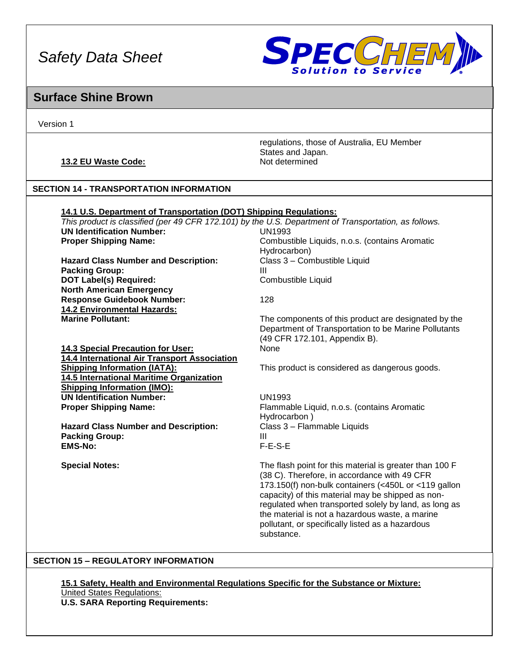

# **Surface Shine Brown**

Version 1

# **13.2 EU Waste Code:** Not determined

regulations, those of Australia, EU Member States and Japan.

# **SECTION 14 - TRANSPORTATION INFORMATION**

**14.2 Environmental Hazards:**

| 14.1 U.S. Department of Transportation (DOT) Shipping Regulations:                                    |                                                |  |  |
|-------------------------------------------------------------------------------------------------------|------------------------------------------------|--|--|
| This product is classified (per 49 CFR 172.101) by the U.S. Department of Transportation, as follows. |                                                |  |  |
| <b>UN Identification Number:</b><br>UN1993                                                            |                                                |  |  |
| <b>Proper Shipping Name:</b>                                                                          | Combustible Liquids, n.o.s. (contains Aromatic |  |  |
|                                                                                                       | Hydrocarbon)                                   |  |  |
| <b>Hazard Class Number and Description:</b>                                                           | Class 3 - Combustible Liquid                   |  |  |
| <b>Packing Group:</b>                                                                                 | Ш                                              |  |  |
| <b>DOT Label(s) Required:</b><br>Combustible Liquid                                                   |                                                |  |  |
| <b>North American Emergency</b>                                                                       |                                                |  |  |

**Response Guidebook Number:** 128

The components of this product are designated by the Department of Transportation to be Marine Pollutants (49 CFR 172.101, Appendix B).

**14.3 Special Precaution for User:** None **14.4 International Air Transport Association 14.5 International Maritime Organization Shipping Information (IMO): UN Identification Number:** UN1993 **Proper Shipping Name:** Flammable Liquid, n.o.s. (contains Aromatic

**Hazard Class Number and Description:** Class 3 – Flammable Liquids **Packing Group: III EMS-No:** F-E-S-E

**Shipping Information (IATA):** This product is considered as dangerous goods.

Hydrocarbon )

**Special Notes:** The flash point for this material is greater than 100 F (38 C). Therefore, in accordance with 49 CFR 173.150(f) non-bulk containers (<450L or <119 gallon capacity) of this material may be shipped as nonregulated when transported solely by land, as long as the material is not a hazardous waste, a marine pollutant, or specifically listed as a hazardous substance.

# **SECTION 15 – REGULATORY INFORMATION**

**15.1 Safety, Health and Environmental Regulations Specific for the Substance or Mixture:** United States Regulations: **U.S. SARA Reporting Requirements:**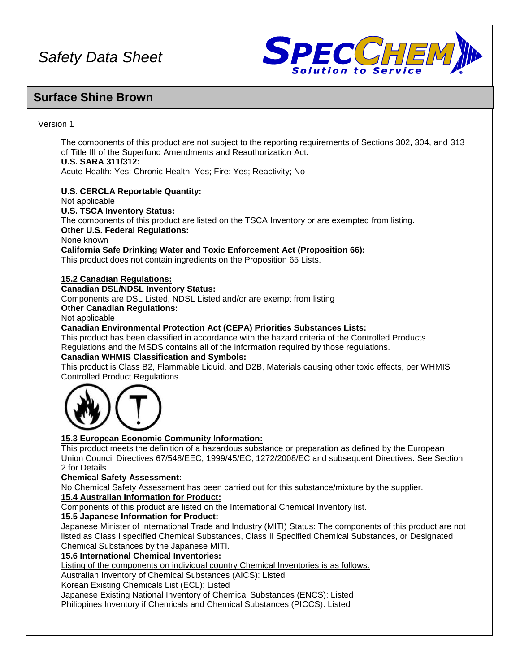

# **Surface Shine Brown**

## Version 1

The components of this product are not subject to the reporting requirements of Sections 302, 304, and 313 of Title III of the Superfund Amendments and Reauthorization Act.

# **U.S. SARA 311/312:**

Acute Health: Yes; Chronic Health: Yes; Fire: Yes; Reactivity; No

# **U.S. CERCLA Reportable Quantity:**

Not applicable

# **U.S. TSCA Inventory Status:**

The components of this product are listed on the TSCA Inventory or are exempted from listing. **Other U.S. Federal Regulations:**

None known

# **California Safe Drinking Water and Toxic Enforcement Act (Proposition 66):**

This product does not contain ingredients on the Proposition 65 Lists.

## **15.2 Canadian Regulations:**

## **Canadian DSL/NDSL Inventory Status:**

Components are DSL Listed, NDSL Listed and/or are exempt from listing

# **Other Canadian Regulations:**

Not applicable

# **Canadian Environmental Protection Act (CEPA) Priorities Substances Lists:**

This product has been classified in accordance with the hazard criteria of the Controlled Products Regulations and the MSDS contains all of the information required by those regulations.

### **Canadian WHMIS Classification and Symbols:**

This product is Class B2, Flammable Liquid, and D2B, Materials causing other toxic effects, per WHMIS Controlled Product Regulations.



# **15.3 European Economic Community Information:**

This product meets the definition of a hazardous substance or preparation as defined by the European Union Council Directives 67/548/EEC, 1999/45/EC, 1272/2008/EC and subsequent Directives. See Section 2 for Details.

### **Chemical Safety Assessment:**

No Chemical Safety Assessment has been carried out for this substance/mixture by the supplier.

### **15.4 Australian Information for Product:**

Components of this product are listed on the International Chemical Inventory list.

### **15.5 Japanese Information for Product:**

Japanese Minister of International Trade and Industry (MITI) Status: The components of this product are not listed as Class I specified Chemical Substances, Class II Specified Chemical Substances, or Designated Chemical Substances by the Japanese MITI.

### **15.6 International Chemical Inventories:**

Listing of the components on individual country Chemical Inventories is as follows:

Australian Inventory of Chemical Substances (AICS): Listed

Korean Existing Chemicals List (ECL): Listed

Japanese Existing National Inventory of Chemical Substances (ENCS): Listed

Philippines Inventory if Chemicals and Chemical Substances (PICCS): Listed